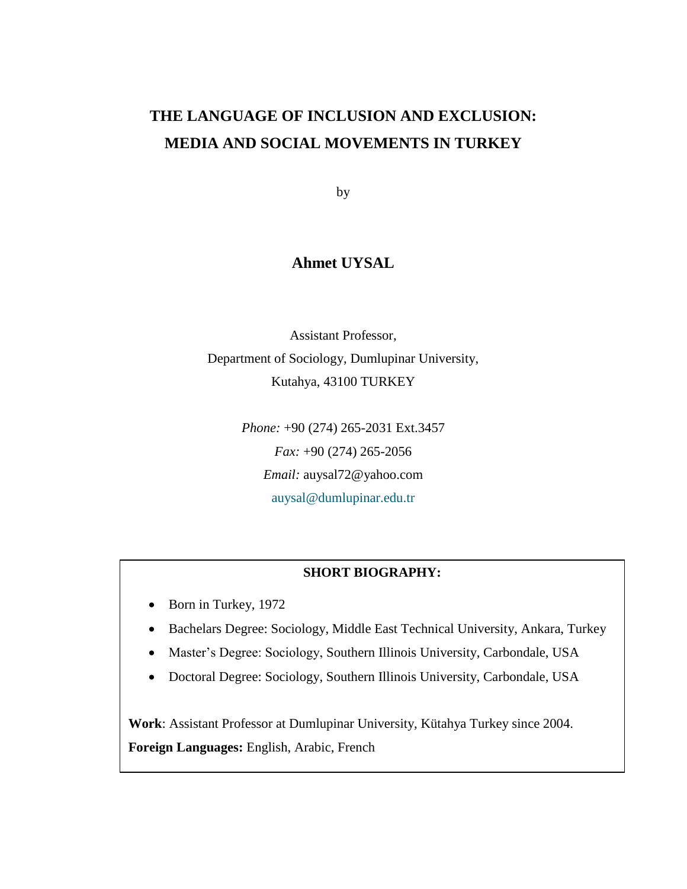## **THE LANGUAGE OF INCLUSION AND EXCLUSION: MEDIA AND SOCIAL MOVEMENTS IN TURKEY**

by

## **Ahmet UYSAL**

Assistant Professor, Department of Sociology, Dumlupinar University, Kutahya, 43100 TURKEY

> *Phone:* +90 (274) 265-2031 Ext.3457 *Fax:* +90 (274) 265-2056 *Email:* auysal72@yahoo.com [auysal@dumlupinar.edu.tr](mailto:auysal@dumlupinar.edu.tr)

### **SHORT BIOGRAPHY:**

- Born in Turkey, 1972
- Bachelars Degree: Sociology, Middle East Technical University, Ankara, Turkey
- Master's Degree: Sociology, Southern Illinois University, Carbondale, USA
- Doctoral Degree: Sociology, Southern Illinois University, Carbondale, USA

**Work**: Assistant Professor at Dumlupinar University, Kütahya Turkey since 2004. **Foreign Languages:** English, Arabic, French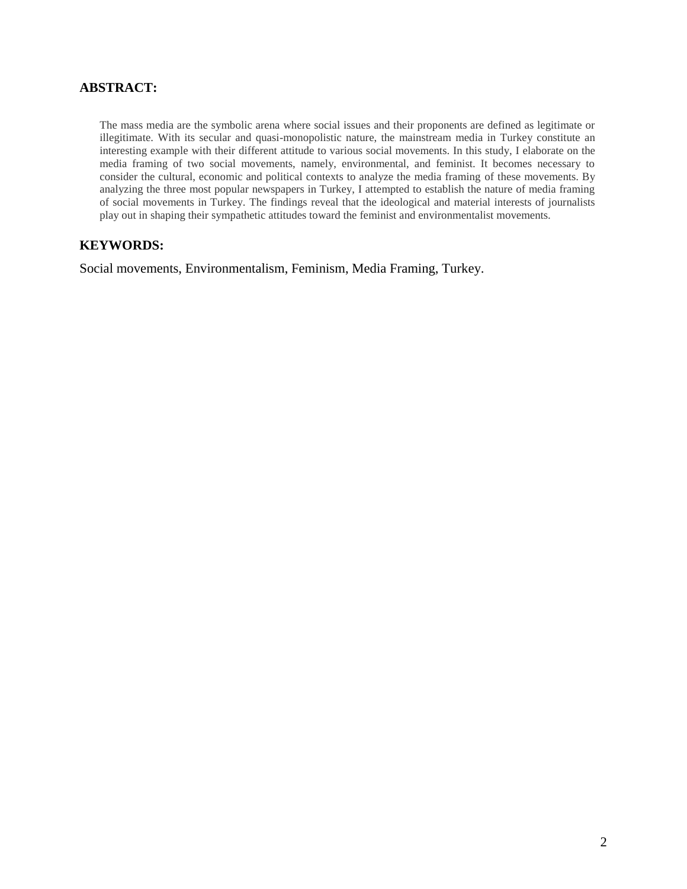#### **ABSTRACT:**

The mass media are the symbolic arena where social issues and their proponents are defined as legitimate or illegitimate. With its secular and quasi-monopolistic nature, the mainstream media in Turkey constitute an interesting example with their different attitude to various social movements. In this study, I elaborate on the media framing of two social movements, namely, environmental, and feminist. It becomes necessary to consider the cultural, economic and political contexts to analyze the media framing of these movements. By analyzing the three most popular newspapers in Turkey, I attempted to establish the nature of media framing of social movements in Turkey. The findings reveal that the ideological and material interests of journalists play out in shaping their sympathetic attitudes toward the feminist and environmentalist movements.

#### **KEYWORDS:**

Social movements, Environmentalism, Feminism, Media Framing, Turkey.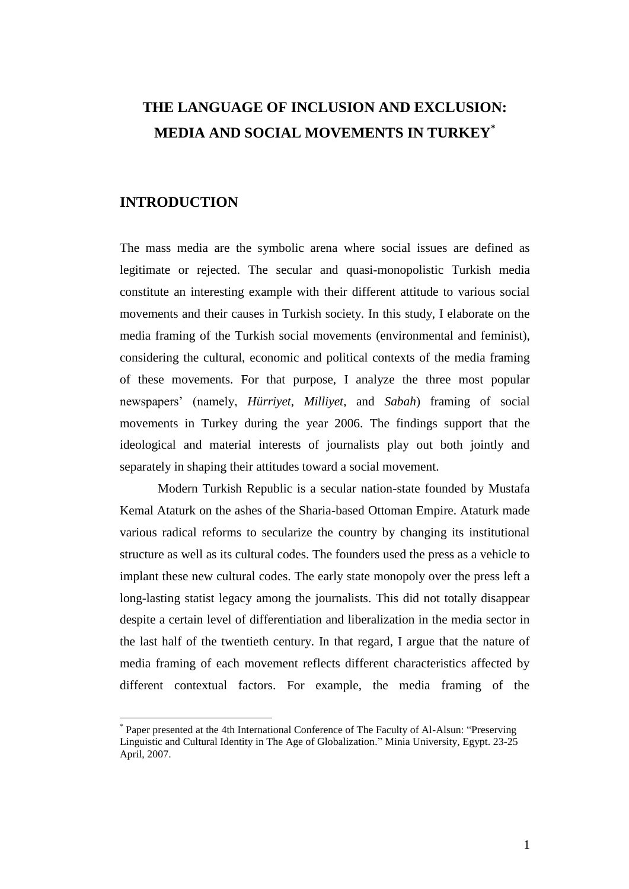## **THE LANGUAGE OF INCLUSION AND EXCLUSION: MEDIA AND SOCIAL MOVEMENTS IN TURKEY\***

## **INTRODUCTION**

 $\overline{a}$ 

The mass media are the symbolic arena where social issues are defined as legitimate or rejected. The secular and quasi-monopolistic Turkish media constitute an interesting example with their different attitude to various social movements and their causes in Turkish society. In this study, I elaborate on the media framing of the Turkish social movements (environmental and feminist), considering the cultural, economic and political contexts of the media framing of these movements. For that purpose, I analyze the three most popular newspapers' (namely, *Hürriyet*, *Milliyet*, and *Sabah*) framing of social movements in Turkey during the year 2006. The findings support that the ideological and material interests of journalists play out both jointly and separately in shaping their attitudes toward a social movement.

Modern Turkish Republic is a secular nation-state founded by Mustafa Kemal Ataturk on the ashes of the Sharia-based Ottoman Empire. Ataturk made various radical reforms to secularize the country by changing its institutional structure as well as its cultural codes. The founders used the press as a vehicle to implant these new cultural codes. The early state monopoly over the press left a long-lasting statist legacy among the journalists. This did not totally disappear despite a certain level of differentiation and liberalization in the media sector in the last half of the twentieth century. In that regard, I argue that the nature of media framing of each movement reflects different characteristics affected by different contextual factors. For example, the media framing of the

<sup>\*</sup> Paper presented at the 4th International Conference of The Faculty of Al-Alsun: "Preserving Linguistic and Cultural Identity in The Age of Globalization." Minia University, Egypt. 23-25 April, 2007.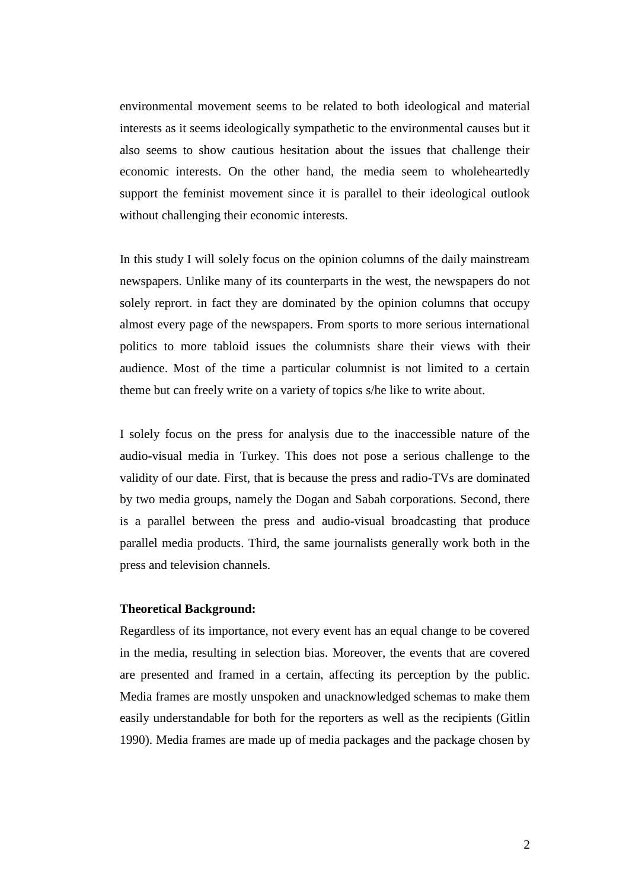environmental movement seems to be related to both ideological and material interests as it seems ideologically sympathetic to the environmental causes but it also seems to show cautious hesitation about the issues that challenge their economic interests. On the other hand, the media seem to wholeheartedly support the feminist movement since it is parallel to their ideological outlook without challenging their economic interests.

In this study I will solely focus on the opinion columns of the daily mainstream newspapers. Unlike many of its counterparts in the west, the newspapers do not solely reprort. in fact they are dominated by the opinion columns that occupy almost every page of the newspapers. From sports to more serious international politics to more tabloid issues the columnists share their views with their audience. Most of the time a particular columnist is not limited to a certain theme but can freely write on a variety of topics s/he like to write about.

I solely focus on the press for analysis due to the inaccessible nature of the audio-visual media in Turkey. This does not pose a serious challenge to the validity of our date. First, that is because the press and radio-TVs are dominated by two media groups, namely the Dogan and Sabah corporations. Second, there is a parallel between the press and audio-visual broadcasting that produce parallel media products. Third, the same journalists generally work both in the press and television channels.

#### **Theoretical Background:**

Regardless of its importance, not every event has an equal change to be covered in the media, resulting in selection bias. Moreover, the events that are covered are presented and framed in a certain, affecting its perception by the public. Media frames are mostly unspoken and unacknowledged schemas to make them easily understandable for both for the reporters as well as the recipients (Gitlin 1990). Media frames are made up of media packages and the package chosen by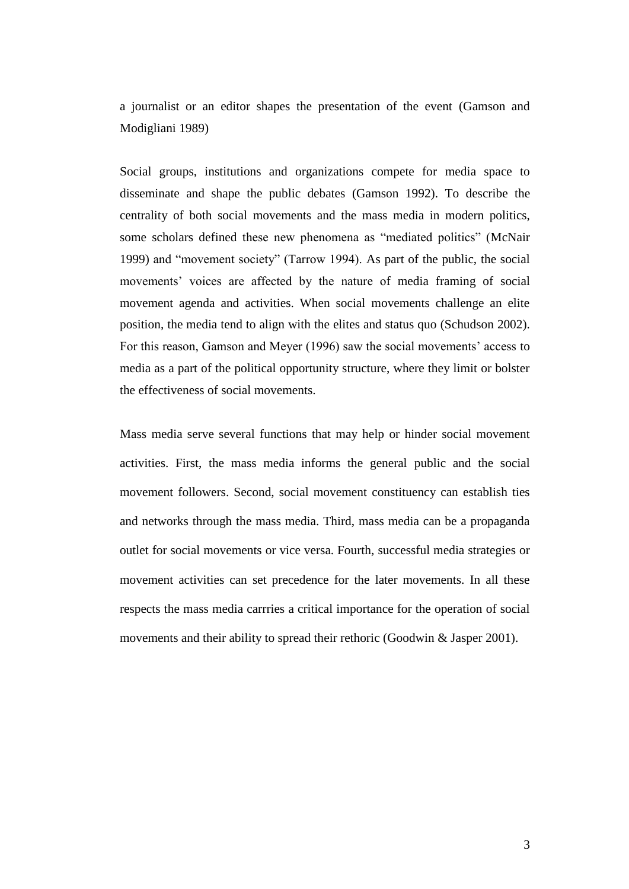a journalist or an editor shapes the presentation of the event (Gamson and Modigliani 1989)

Social groups, institutions and organizations compete for media space to disseminate and shape the public debates (Gamson 1992). To describe the centrality of both social movements and the mass media in modern politics, some scholars defined these new phenomena as "mediated politics" (McNair 1999) and "movement society" (Tarrow 1994). As part of the public, the social movements' voices are affected by the nature of media framing of social movement agenda and activities. When social movements challenge an elite position, the media tend to align with the elites and status quo (Schudson 2002). For this reason, Gamson and Meyer (1996) saw the social movements' access to media as a part of the political opportunity structure, where they limit or bolster the effectiveness of social movements.

Mass media serve several functions that may help or hinder social movement activities. First, the mass media informs the general public and the social movement followers. Second, social movement constituency can establish ties and networks through the mass media. Third, mass media can be a propaganda outlet for social movements or vice versa. Fourth, successful media strategies or movement activities can set precedence for the later movements. In all these respects the mass media carrries a critical importance for the operation of social movements and their ability to spread their rethoric (Goodwin & Jasper 2001).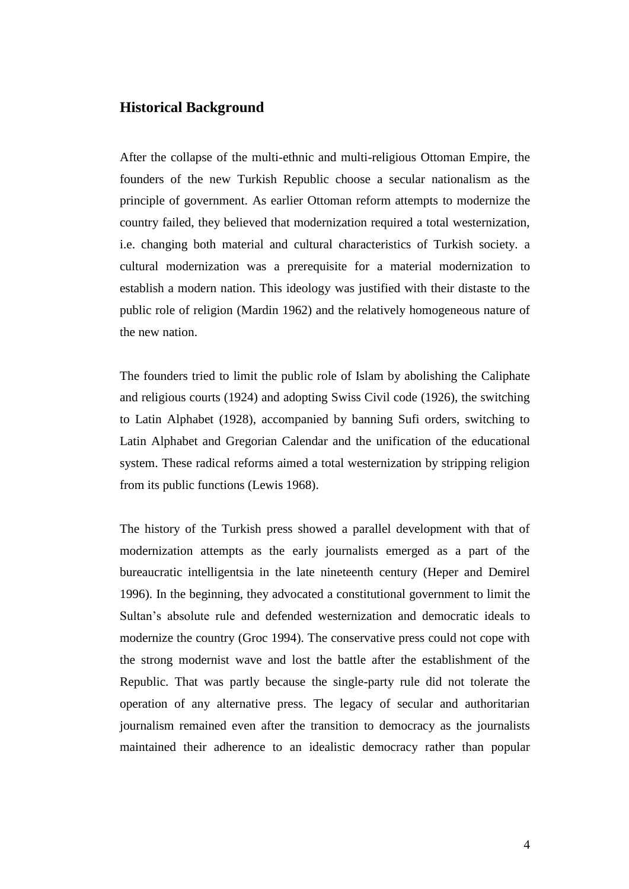### **Historical Background**

After the collapse of the multi-ethnic and multi-religious Ottoman Empire, the founders of the new Turkish Republic choose a secular nationalism as the principle of government. As earlier Ottoman reform attempts to modernize the country failed, they believed that modernization required a total westernization, i.e. changing both material and cultural characteristics of Turkish society. a cultural modernization was a prerequisite for a material modernization to establish a modern nation. This ideology was justified with their distaste to the public role of religion (Mardin 1962) and the relatively homogeneous nature of the new nation.

The founders tried to limit the public role of Islam by abolishing the Caliphate and religious courts (1924) and adopting Swiss Civil code (1926), the switching to Latin Alphabet (1928), accompanied by banning Sufi orders, switching to Latin Alphabet and Gregorian Calendar and the unification of the educational system. These radical reforms aimed a total westernization by stripping religion from its public functions (Lewis 1968).

The history of the Turkish press showed a parallel development with that of modernization attempts as the early journalists emerged as a part of the bureaucratic intelligentsia in the late nineteenth century (Heper and Demirel 1996). In the beginning, they advocated a constitutional government to limit the Sultan's absolute rule and defended westernization and democratic ideals to modernize the country (Groc 1994). The conservative press could not cope with the strong modernist wave and lost the battle after the establishment of the Republic. That was partly because the single-party rule did not tolerate the operation of any alternative press. The legacy of secular and authoritarian journalism remained even after the transition to democracy as the journalists maintained their adherence to an idealistic democracy rather than popular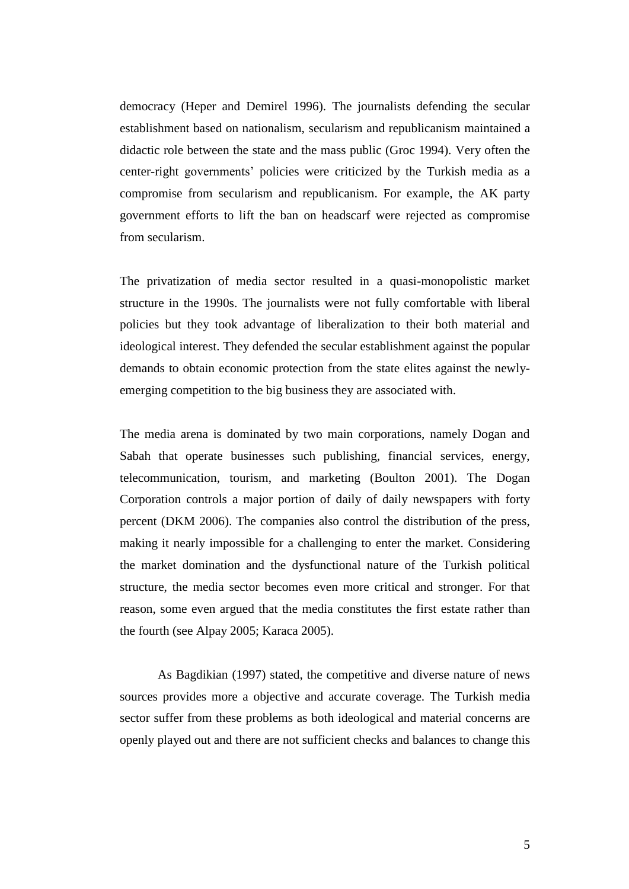democracy (Heper and Demirel 1996). The journalists defending the secular establishment based on nationalism, secularism and republicanism maintained a didactic role between the state and the mass public (Groc 1994). Very often the center-right governments' policies were criticized by the Turkish media as a compromise from secularism and republicanism. For example, the AK party government efforts to lift the ban on headscarf were rejected as compromise from secularism.

The privatization of media sector resulted in a quasi-monopolistic market structure in the 1990s. The journalists were not fully comfortable with liberal policies but they took advantage of liberalization to their both material and ideological interest. They defended the secular establishment against the popular demands to obtain economic protection from the state elites against the newlyemerging competition to the big business they are associated with.

The media arena is dominated by two main corporations, namely Dogan and Sabah that operate businesses such publishing, financial services, energy, telecommunication, tourism, and marketing (Boulton 2001). The Dogan Corporation controls a major portion of daily of daily newspapers with forty percent (DKM 2006). The companies also control the distribution of the press, making it nearly impossible for a challenging to enter the market. Considering the market domination and the dysfunctional nature of the Turkish political structure, the media sector becomes even more critical and stronger. For that reason, some even argued that the media constitutes the first estate rather than the fourth (see Alpay 2005; Karaca 2005).

As Bagdikian (1997) stated, the competitive and diverse nature of news sources provides more a objective and accurate coverage. The Turkish media sector suffer from these problems as both ideological and material concerns are openly played out and there are not sufficient checks and balances to change this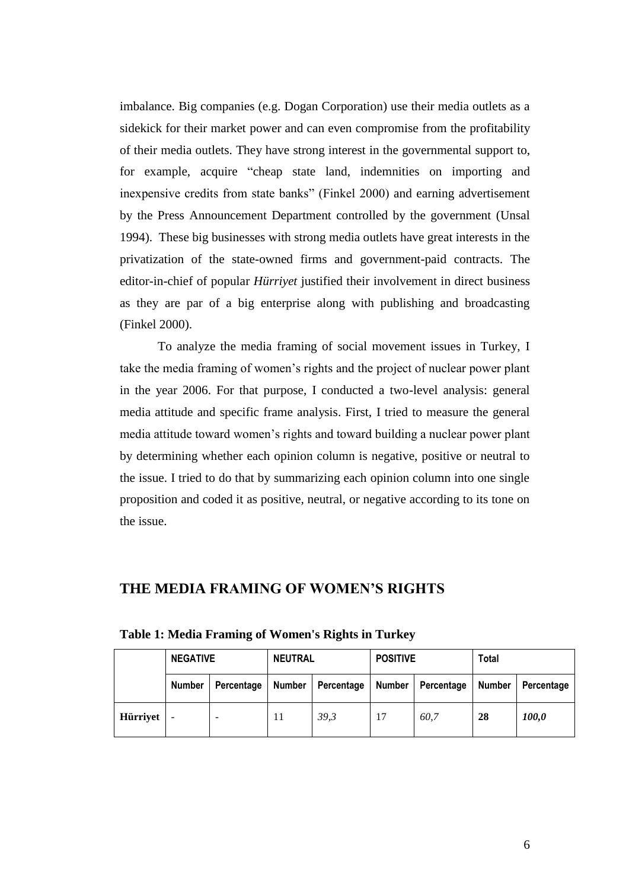imbalance. Big companies (e.g. Dogan Corporation) use their media outlets as a sidekick for their market power and can even compromise from the profitability of their media outlets. They have strong interest in the governmental support to, for example, acquire "cheap state land, indemnities on importing and inexpensive credits from state banks" (Finkel 2000) and earning advertisement by the Press Announcement Department controlled by the government (Unsal 1994). These big businesses with strong media outlets have great interests in the privatization of the state-owned firms and government-paid contracts. The editor-in-chief of popular *Hürriyet* justified their involvement in direct business as they are par of a big enterprise along with publishing and broadcasting (Finkel 2000).

To analyze the media framing of social movement issues in Turkey, I take the media framing of women's rights and the project of nuclear power plant in the year 2006. For that purpose, I conducted a two-level analysis: general media attitude and specific frame analysis. First, I tried to measure the general media attitude toward women's rights and toward building a nuclear power plant by determining whether each opinion column is negative, positive or neutral to the issue. I tried to do that by summarizing each opinion column into one single proposition and coded it as positive, neutral, or negative according to its tone on the issue.

### **THE MEDIA FRAMING OF WOMEN'S RIGHTS**

|          | <b>NEGATIVE</b> |            | <b>NEUTRAL</b> |            | <b>POSITIVE</b> |            | <b>Total</b>  |            |
|----------|-----------------|------------|----------------|------------|-----------------|------------|---------------|------------|
|          | <b>Number</b>   | Percentage | Number         | Percentage | Number          | Percentage | <b>Number</b> | Percentage |
| Hürriyet |                 |            | 11             | 39,3       | 17              | 60.7       | 28            | 100,0      |

<span id="page-7-0"></span>**Table 1: Media Framing of Women's Rights in Turkey**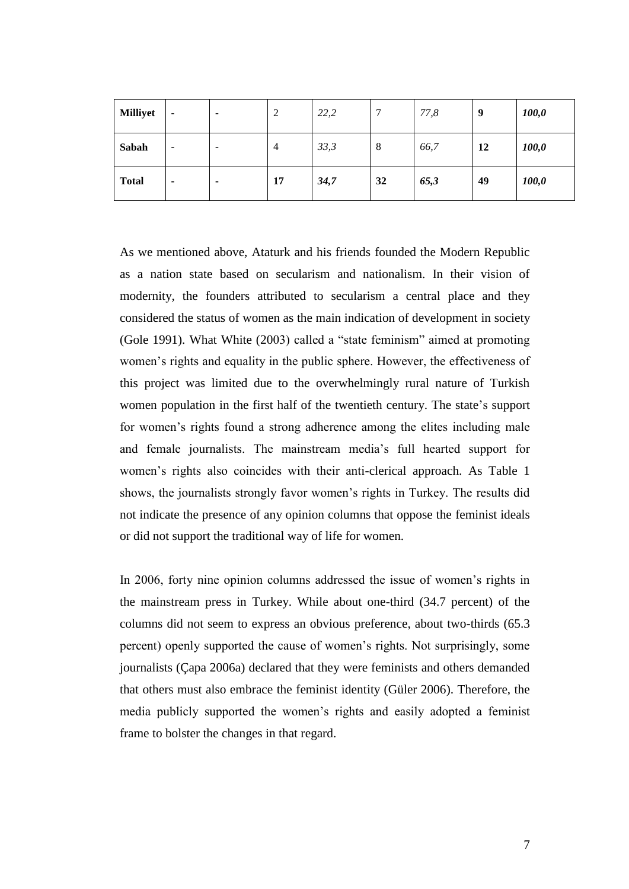| <b>Milliyet</b> | $\overline{\phantom{0}}$ | $\overline{\phantom{a}}$ | $\overline{c}$ | 22,2 | $\mathbf{r}$ | 77,8 | 9  | 100,0 |
|-----------------|--------------------------|--------------------------|----------------|------|--------------|------|----|-------|
| Sabah           | $\overline{\phantom{0}}$ | -                        | $\overline{4}$ | 33,3 | 8            | 66,7 | 12 | 100,0 |
| <b>Total</b>    | ٠                        |                          | 17             | 34,7 | 32           | 65,3 | 49 | 100,0 |

As we mentioned above, Ataturk and his friends founded the Modern Republic as a nation state based on secularism and nationalism. In their vision of modernity, the founders attributed to secularism a central place and they considered the status of women as the main indication of development in society (Gole 1991). What White (2003) called a "state feminism" aimed at promoting women's rights and equality in the public sphere. However, the effectiveness of this project was limited due to the overwhelmingly rural nature of Turkish women population in the first half of the twentieth century. The state's support for women's rights found a strong adherence among the elites including male and female journalists. The mainstream media's full hearted support for women's rights also coincides with their anti-clerical approach. As [Table 1](#page-7-0) shows, the journalists strongly favor women's rights in Turkey. The results did not indicate the presence of any opinion columns that oppose the feminist ideals or did not support the traditional way of life for women.

In 2006, forty nine opinion columns addressed the issue of women's rights in the mainstream press in Turkey. While about one-third (34.7 percent) of the columns did not seem to express an obvious preference, about two-thirds (65.3 percent) openly supported the cause of women's rights. Not surprisingly, some journalists (Çapa 2006a) declared that they were feminists and others demanded that others must also embrace the feminist identity (Güler 2006). Therefore, the media publicly supported the women's rights and easily adopted a feminist frame to bolster the changes in that regard.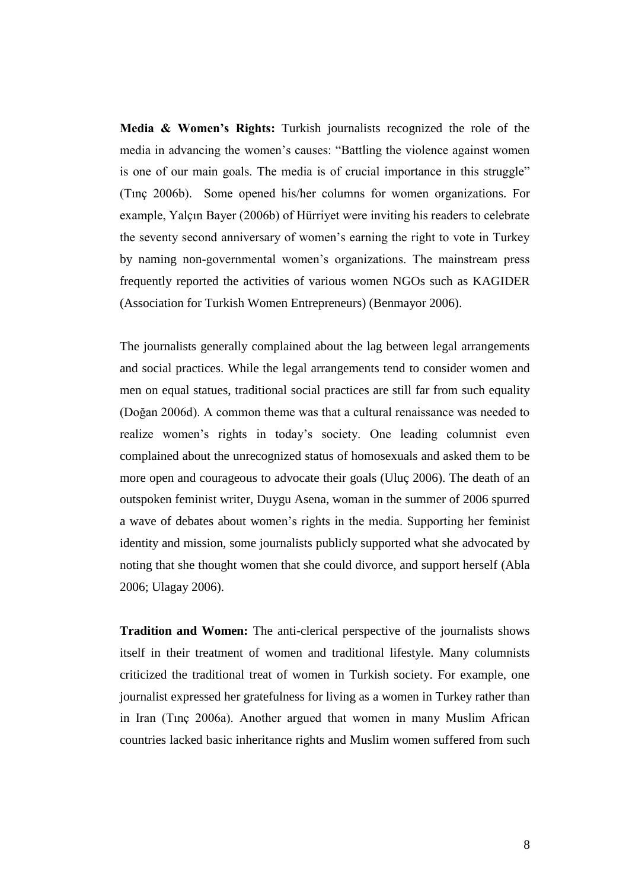**Media & Women's Rights:** Turkish journalists recognized the role of the media in advancing the women's causes: "Battling the violence against women is one of our main goals. The media is of crucial importance in this struggle" (Tınç 2006b). Some opened his/her columns for women organizations. For example, Yalçın Bayer (2006b) of Hürriyet were inviting his readers to celebrate the seventy second anniversary of women's earning the right to vote in Turkey by naming non-governmental women's organizations. The mainstream press frequently reported the activities of various women NGOs such as KAGIDER (Association for Turkish Women Entrepreneurs) (Benmayor 2006).

The journalists generally complained about the lag between legal arrangements and social practices. While the legal arrangements tend to consider women and men on equal statues, traditional social practices are still far from such equality (Doğan 2006d). A common theme was that a cultural renaissance was needed to realize women's rights in today's society. One leading columnist even complained about the unrecognized status of homosexuals and asked them to be more open and courageous to advocate their goals (Uluç 2006). The death of an outspoken feminist writer, Duygu Asena, woman in the summer of 2006 spurred a wave of debates about women's rights in the media. Supporting her feminist identity and mission, some journalists publicly supported what she advocated by noting that she thought women that she could divorce, and support herself (Abla 2006; Ulagay 2006).

**Tradition and Women:** The anti-clerical perspective of the journalists shows itself in their treatment of women and traditional lifestyle. Many columnists criticized the traditional treat of women in Turkish society. For example, one journalist expressed her gratefulness for living as a women in Turkey rather than in Iran (Tınç 2006a). Another argued that women in many Muslim African countries lacked basic inheritance rights and Muslim women suffered from such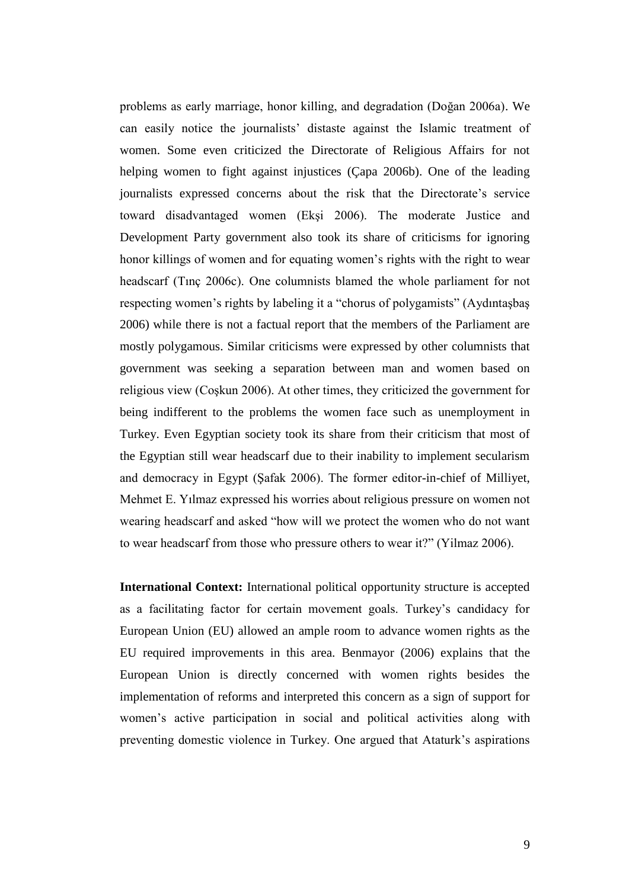problems as early marriage, honor killing, and degradation (Doğan 2006a). We can easily notice the journalists' distaste against the Islamic treatment of women. Some even criticized the Directorate of Religious Affairs for not helping women to fight against injustices (Çapa 2006b). One of the leading journalists expressed concerns about the risk that the Directorate's service toward disadvantaged women (Ekşi 2006). The moderate Justice and Development Party government also took its share of criticisms for ignoring honor killings of women and for equating women's rights with the right to wear headscarf (Tınç 2006c). One columnists blamed the whole parliament for not respecting women's rights by labeling it a "chorus of polygamists" (Aydıntaşbaş 2006) while there is not a factual report that the members of the Parliament are mostly polygamous. Similar criticisms were expressed by other columnists that government was seeking a separation between man and women based on religious view (Coşkun 2006). At other times, they criticized the government for being indifferent to the problems the women face such as unemployment in Turkey. Even Egyptian society took its share from their criticism that most of the Egyptian still wear headscarf due to their inability to implement secularism and democracy in Egypt (Şafak 2006). The former editor-in-chief of Milliyet, Mehmet E. Yılmaz expressed his worries about religious pressure on women not wearing headscarf and asked "how will we protect the women who do not want to wear headscarf from those who pressure others to wear it?" (Yilmaz 2006).

**International Context:** International political opportunity structure is accepted as a facilitating factor for certain movement goals. Turkey's candidacy for European Union (EU) allowed an ample room to advance women rights as the EU required improvements in this area. Benmayor (2006) explains that the European Union is directly concerned with women rights besides the implementation of reforms and interpreted this concern as a sign of support for women's active participation in social and political activities along with preventing domestic violence in Turkey. One argued that Ataturk's aspirations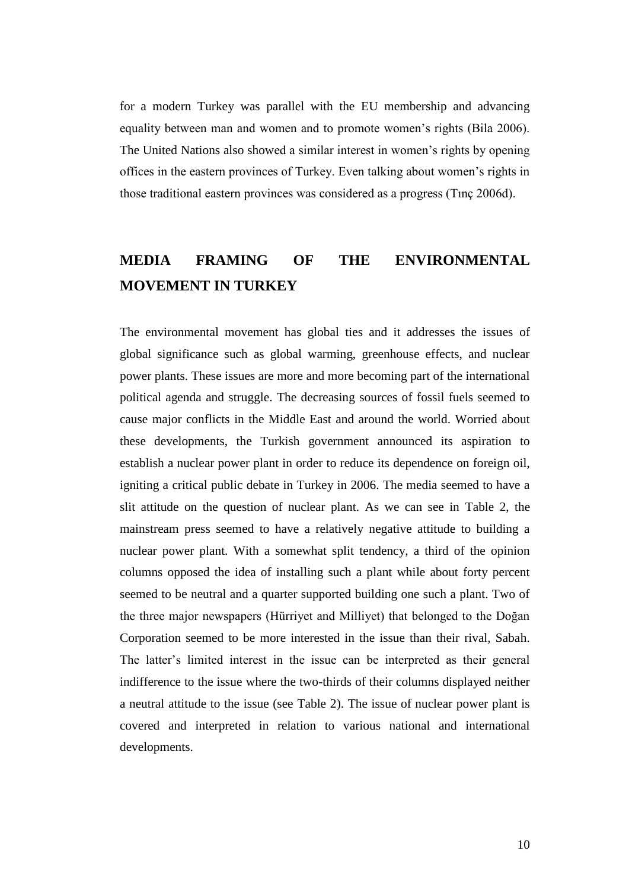for a modern Turkey was parallel with the EU membership and advancing equality between man and women and to promote women's rights (Bila 2006). The United Nations also showed a similar interest in women's rights by opening offices in the eastern provinces of Turkey. Even talking about women's rights in those traditional eastern provinces was considered as a progress (Tınç 2006d).

# **MEDIA FRAMING OF THE ENVIRONMENTAL MOVEMENT IN TURKEY**

The environmental movement has global ties and it addresses the issues of global significance such as global warming, greenhouse effects, and nuclear power plants. These issues are more and more becoming part of the international political agenda and struggle. The decreasing sources of fossil fuels seemed to cause major conflicts in the Middle East and around the world. Worried about these developments, the Turkish government announced its aspiration to establish a nuclear power plant in order to reduce its dependence on foreign oil, igniting a critical public debate in Turkey in 2006. The media seemed to have a slit attitude on the question of nuclear plant. As we can see in [Table 2,](#page-12-0) the mainstream press seemed to have a relatively negative attitude to building a nuclear power plant. With a somewhat split tendency, a third of the opinion columns opposed the idea of installing such a plant while about forty percent seemed to be neutral and a quarter supported building one such a plant. Two of the three major newspapers (Hürriyet and Milliyet) that belonged to the Doğan Corporation seemed to be more interested in the issue than their rival, Sabah. The latter's limited interest in the issue can be interpreted as their general indifference to the issue where the two-thirds of their columns displayed neither a neutral attitude to the issue (see [Table 2\)](#page-12-0). The issue of nuclear power plant is covered and interpreted in relation to various national and international developments.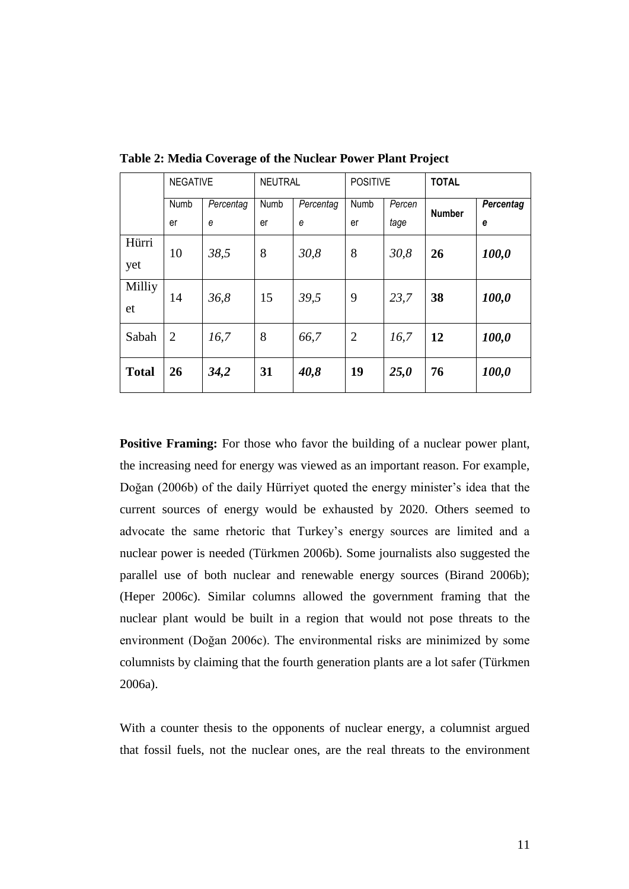|              | <b>NEGATIVE</b> |           | <b>NEUTRAL</b> |           | <b>POSITIVE</b> |        | <b>TOTAL</b>  |                  |
|--------------|-----------------|-----------|----------------|-----------|-----------------|--------|---------------|------------------|
|              | Numb            | Percentag | Numb           | Percentag | Numb            | Percen | <b>Number</b> | <b>Percentag</b> |
|              | er              | e         | er             | e         | er              | tage   |               | e                |
| Hürri<br>yet | 10              | 38,5      | 8              | 30,8      | 8               | 30,8   | 26            | 100,0            |
| Milliy<br>et | 14              | 36,8      | 15             | 39,5      | 9               | 23,7   | 38            | 100,0            |
| Sabah        | $\overline{2}$  | 16,7      | 8              | 66,7      | $\overline{2}$  | 16,7   | 12            | 100,0            |
| <b>Total</b> | 26              | 34,2      | 31             | 40,8      | 19              | 25,0   | 76            | 100,0            |

<span id="page-12-0"></span>**Table 2: Media Coverage of the Nuclear Power Plant Project**

**Positive Framing:** For those who favor the building of a nuclear power plant, the increasing need for energy was viewed as an important reason. For example, Doğan (2006b) of the daily Hürriyet quoted the energy minister's idea that the current sources of energy would be exhausted by 2020. Others seemed to advocate the same rhetoric that Turkey's energy sources are limited and a nuclear power is needed (Türkmen 2006b). Some journalists also suggested the parallel use of both nuclear and renewable energy sources (Birand 2006b); (Heper 2006c). Similar columns allowed the government framing that the nuclear plant would be built in a region that would not pose threats to the environment (Doğan 2006c). The environmental risks are minimized by some columnists by claiming that the fourth generation plants are a lot safer (Türkmen 2006a).

With a counter thesis to the opponents of nuclear energy, a columnist argued that fossil fuels, not the nuclear ones, are the real threats to the environment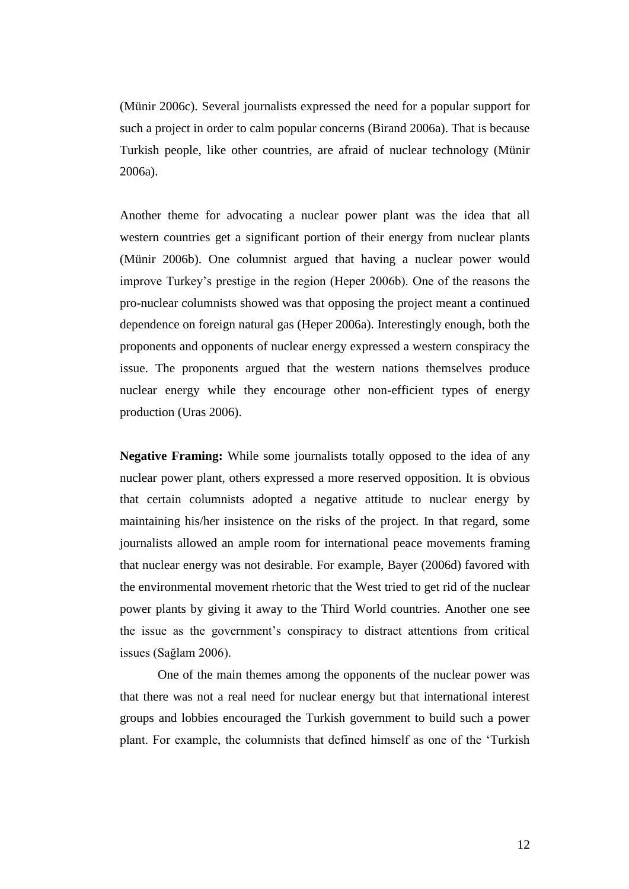(Münir 2006c). Several journalists expressed the need for a popular support for such a project in order to calm popular concerns (Birand 2006a). That is because Turkish people, like other countries, are afraid of nuclear technology (Münir 2006a).

Another theme for advocating a nuclear power plant was the idea that all western countries get a significant portion of their energy from nuclear plants (Münir 2006b). One columnist argued that having a nuclear power would improve Turkey's prestige in the region (Heper 2006b). One of the reasons the pro-nuclear columnists showed was that opposing the project meant a continued dependence on foreign natural gas (Heper 2006a). Interestingly enough, both the proponents and opponents of nuclear energy expressed a western conspiracy the issue. The proponents argued that the western nations themselves produce nuclear energy while they encourage other non-efficient types of energy production (Uras 2006).

**Negative Framing:** While some journalists totally opposed to the idea of any nuclear power plant, others expressed a more reserved opposition. It is obvious that certain columnists adopted a negative attitude to nuclear energy by maintaining his/her insistence on the risks of the project. In that regard, some journalists allowed an ample room for international peace movements framing that nuclear energy was not desirable. For example, Bayer (2006d) favored with the environmental movement rhetoric that the West tried to get rid of the nuclear power plants by giving it away to the Third World countries. Another one see the issue as the government's conspiracy to distract attentions from critical issues (Sağlam 2006).

One of the main themes among the opponents of the nuclear power was that there was not a real need for nuclear energy but that international interest groups and lobbies encouraged the Turkish government to build such a power plant. For example, the columnists that defined himself as one of the 'Turkish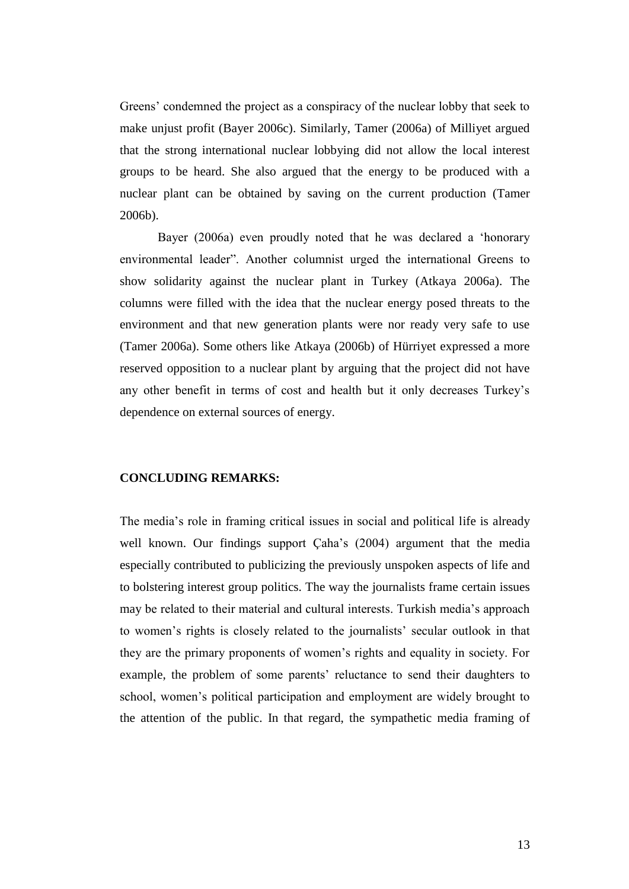Greens' condemned the project as a conspiracy of the nuclear lobby that seek to make unjust profit (Bayer 2006c). Similarly, Tamer (2006a) of Milliyet argued that the strong international nuclear lobbying did not allow the local interest groups to be heard. She also argued that the energy to be produced with a nuclear plant can be obtained by saving on the current production (Tamer 2006b).

Bayer (2006a) even proudly noted that he was declared a 'honorary environmental leader". Another columnist urged the international Greens to show solidarity against the nuclear plant in Turkey (Atkaya 2006a). The columns were filled with the idea that the nuclear energy posed threats to the environment and that new generation plants were nor ready very safe to use (Tamer 2006a). Some others like Atkaya (2006b) of Hürriyet expressed a more reserved opposition to a nuclear plant by arguing that the project did not have any other benefit in terms of cost and health but it only decreases Turkey's dependence on external sources of energy.

#### **CONCLUDING REMARKS:**

The media's role in framing critical issues in social and political life is already well known. Our findings support Çaha's (2004) argument that the media especially contributed to publicizing the previously unspoken aspects of life and to bolstering interest group politics. The way the journalists frame certain issues may be related to their material and cultural interests. Turkish media's approach to women's rights is closely related to the journalists' secular outlook in that they are the primary proponents of women's rights and equality in society. For example, the problem of some parents' reluctance to send their daughters to school, women's political participation and employment are widely brought to the attention of the public. In that regard, the sympathetic media framing of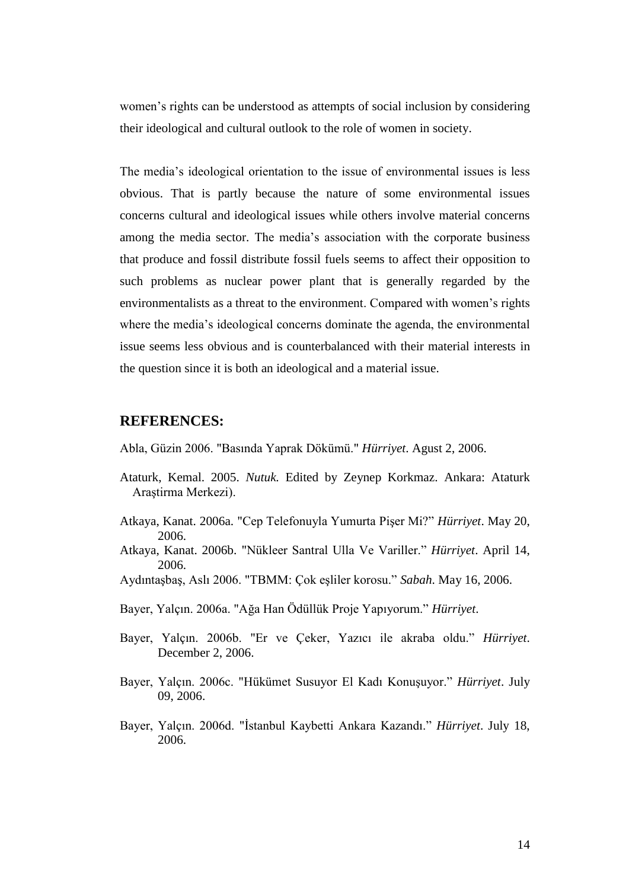women's rights can be understood as attempts of social inclusion by considering their ideological and cultural outlook to the role of women in society.

The media's ideological orientation to the issue of environmental issues is less obvious. That is partly because the nature of some environmental issues concerns cultural and ideological issues while others involve material concerns among the media sector. The media's association with the corporate business that produce and fossil distribute fossil fuels seems to affect their opposition to such problems as nuclear power plant that is generally regarded by the environmentalists as a threat to the environment. Compared with women's rights where the media's ideological concerns dominate the agenda, the environmental issue seems less obvious and is counterbalanced with their material interests in the question since it is both an ideological and a material issue.

#### **REFERENCES:**

Abla, Güzin 2006. "Basında Yaprak Dökümü." *Hürriyet*. Agust 2, 2006.

- Ataturk, Kemal. 2005. *Nutuk.* Edited by Zeynep Korkmaz. Ankara: Ataturk Araştirma Merkezi).
- Atkaya, Kanat. 2006a. "Cep Telefonuyla Yumurta Pişer Mi?" *Hürriyet*. May 20, 2006.
- Atkaya, Kanat. 2006b. "Nükleer Santral Ulla Ve Variller." *Hürriyet*. April 14, 2006.
- Aydıntaşbaş, Aslı 2006. "TBMM: Çok eşliler korosu." *Sabah*. May 16, 2006.
- Bayer, Yalçın. 2006a. "Ağa Han Ödüllük Proje Yapıyorum." *Hürriyet*.
- Bayer, Yalçın. 2006b. "Er ve Çeker, Yazıcı ile akraba oldu." *Hürriyet*. December 2, 2006.
- Bayer, Yalçın. 2006c. "Hükümet Susuyor El Kadı Konuşuyor." *Hürriyet*. July 09, 2006.
- Bayer, Yalçın. 2006d. "İstanbul Kaybetti Ankara Kazandı." *Hürriyet*. July 18, 2006.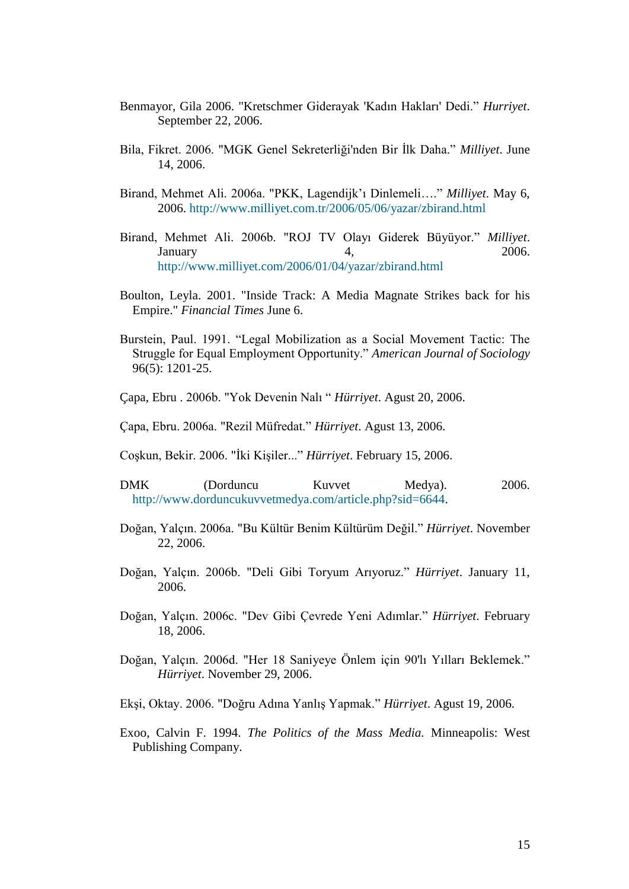- Benmayor, Gila 2006. "Kretschmer Giderayak 'Kadın Hakları' Dedi." *Hurriyet*. September 22, 2006.
- Bila, Fikret. 2006. "MGK Genel Sekreterliği'nden Bir İlk Daha." *Milliyet*. June 14, 2006.
- Birand, Mehmet Ali. 2006a. "PKK, Lagendijk'ı Dinlemeli…." *Milliyet*. May 6, 2006.<http://www.milliyet.com.tr/2006/05/06/yazar/zbirand.html>
- Birand, Mehmet Ali. 2006b. "ROJ TV Olayı Giderek Büyüyor." *Milliyet*. January 4, 2006. <http://www.milliyet.com/2006/01/04/yazar/zbirand.html>
- Boulton, Leyla. 2001. "Inside Track: A Media Magnate Strikes back for his Empire." *Financial Times* June 6.
- Burstein, Paul. 1991. "Legal Mobilization as a Social Movement Tactic: The Struggle for Equal Employment Opportunity." *American Journal of Sociology* 96(5): 1201-25.
- Çapa, Ebru . 2006b. "Yok Devenin Nalı " *Hürriyet*. Agust 20, 2006.
- Çapa, Ebru. 2006a. "Rezil Müfredat." *Hürriyet*. Agust 13, 2006.
- Coşkun, Bekir. 2006. "İki Kişiler..." *Hürriyet*. February 15, 2006.
- DMK (Dorduncu Kuvvet Medya). 2006. [http://www.dorduncukuvvetmedya.com/article.php?sid=6644.](http://www.dorduncukuvvetmedya.com/article.php?sid=6644)
- Doğan, Yalçın. 2006a. "Bu Kültür Benim Kültürüm Değil." *Hürriyet*. November 22, 2006.
- Doğan, Yalçın. 2006b. "Deli Gibi Toryum Arıyoruz." *Hürriyet*. January 11, 2006.
- Doğan, Yalçın. 2006c. "Dev Gibi Çevrede Yeni Adımlar." *Hürriyet*. February 18, 2006.
- Doğan, Yalçın. 2006d. "Her 18 Saniyeye Önlem için 90'lı Yılları Beklemek." *Hürriyet*. November 29, 2006.
- Ekşi, Oktay. 2006. "Doğru Adına Yanlış Yapmak." *Hürriyet*. Agust 19, 2006.
- Exoo, Calvin F. 1994. *The Politics of the Mass Media.* Minneapolis: West Publishing Company.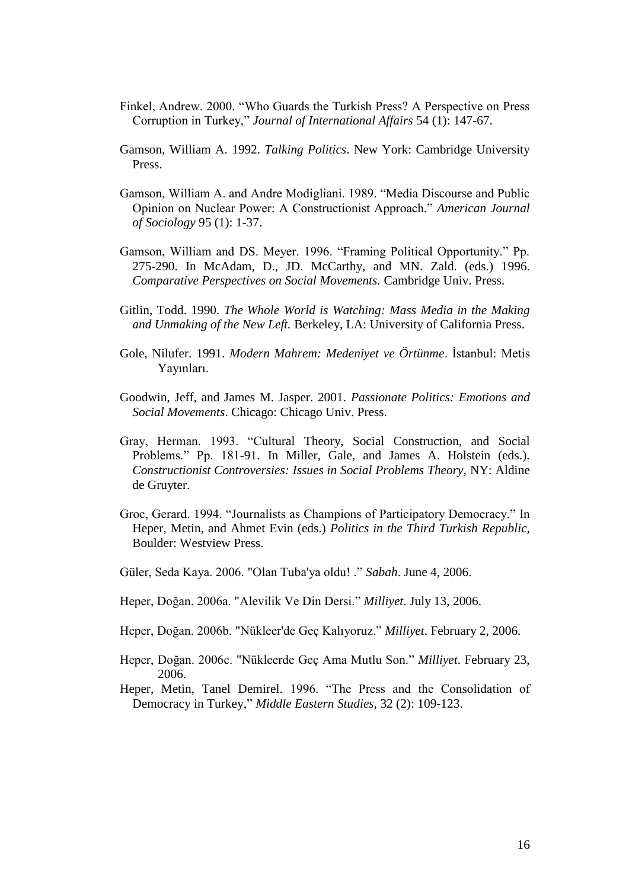- Finkel, Andrew. 2000. "Who Guards the Turkish Press? A Perspective on Press Corruption in Turkey," *Journal of International Affairs* 54 (1): 147-67.
- Gamson, William A. 1992. *Talking Politics*. New York: Cambridge University Press.
- Gamson, William A. and Andre Modigliani. 1989. "Media Discourse and Public Opinion on Nuclear Power: A Constructionist Approach." *American Journal of Sociology* 95 (1): 1-37.
- Gamson, William and DS. Meyer. 1996. "Framing Political Opportunity." Pp. 275-290. In McAdam, D., JD. McCarthy, and MN. Zald. (eds.) 1996. *Comparative Perspectives on Social Movements.* Cambridge Univ. Press.
- Gitlin, Todd. 1990. *The Whole World is Watching: Mass Media in the Making and Unmaking of the New Left.* Berkeley, LA: University of California Press.
- Gole, Nilufer. 1991. *Modern Mahrem: Medeniyet ve Örtünme*. İstanbul: Metis Yayınları.
- Goodwin, Jeff, and James M. Jasper. 2001. *Passionate Politics: Emotions and Social Movements*. Chicago: Chicago Univ. Press.
- Gray, Herman. 1993. "Cultural Theory, Social Construction, and Social Problems." Pp. 181-91. In Miller, Gale, and James A. Holstein (eds.). *Constructionist Controversies: Issues in Social Problems Theory,* NY: Aldine de Gruyter.
- Groc, Gerard. 1994. "Journalists as Champions of Participatory Democracy." In Heper, Metin, and Ahmet Evin (eds.) *Politics in the Third Turkish Republic,*  Boulder: Westview Press.
- Güler, Seda Kaya. 2006. "Olan Tuba'ya oldu! ." *Sabah*. June 4, 2006.
- Heper, Doğan. 2006a. "Alevilik Ve Din Dersi." *Milliyet*. July 13, 2006.
- Heper, Doğan. 2006b. "Nükleer'de Geç Kalıyoruz." *Milliyet*. February 2, 2006.
- Heper, Doğan. 2006c. "Nükleerde Geç Ama Mutlu Son." *Milliyet*. February 23, 2006.
- Heper, Metin, Tanel Demirel. 1996. "The Press and the Consolidation of Democracy in Turkey," *Middle Eastern Studies,* 32 (2): 109-123.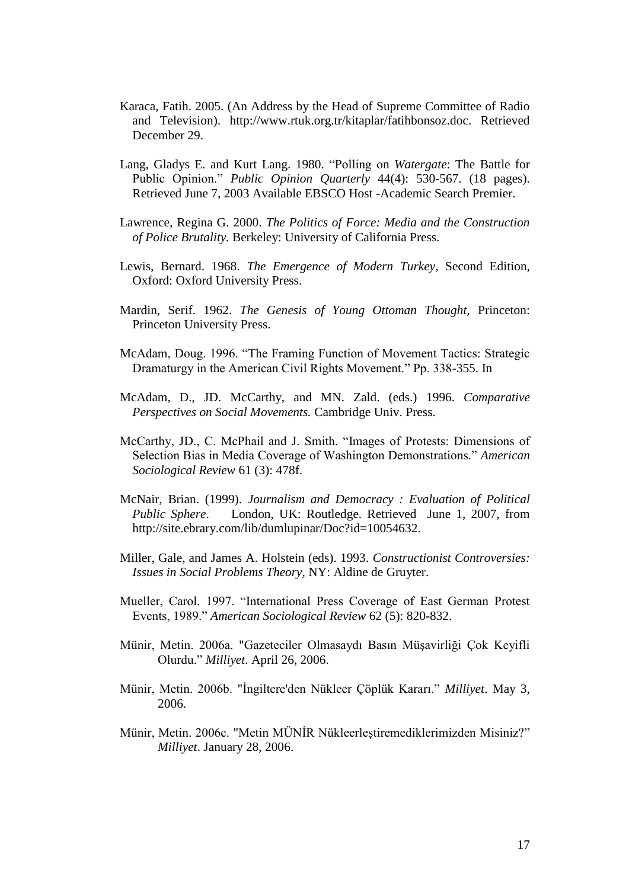- Karaca, Fatih. 2005. (An Address by the Head of Supreme Committee of Radio and Television). http://www.rtuk.org.tr/kitaplar/fatihbonsoz.doc. Retrieved December 29.
- Lang, Gladys E. and Kurt Lang. 1980. "Polling on *Watergate*: The Battle for Public Opinion." *Public Opinion Quarterly* 44(4): 530-567. (18 pages). Retrieved June 7, 2003 Available EBSCO Host -Academic Search Premier.
- Lawrence, Regina G. 2000. *The Politics of Force: Media and the Construction of Police Brutality.* Berkeley: University of California Press.
- Lewis, Bernard. 1968. *The Emergence of Modern Turkey*, Second Edition, Oxford: Oxford University Press.
- Mardin, Serif. 1962. *The Genesis of Young Ottoman Thought,* Princeton: Princeton University Press.
- McAdam, Doug. 1996. "The Framing Function of Movement Tactics: Strategic Dramaturgy in the American Civil Rights Movement." Pp. 338-355. In
- McAdam, D., JD. McCarthy, and MN. Zald. (eds.) 1996. *Comparative Perspectives on Social Movements.* Cambridge Univ. Press.
- McCarthy, JD., C. McPhail and J. Smith. "Images of Protests: Dimensions of Selection Bias in Media Coverage of Washington Demonstrations." *American Sociological Review* 61 (3): 478f.
- McNair, Brian. (1999). *Journalism and Democracy : Evaluation of Political Public Sphere*. London, UK: Routledge. Retrieved June 1, 2007, from http://site.ebrary.com/lib/dumlupinar/Doc?id=10054632.
- Miller, Gale, and James A. Holstein (eds). 1993. *Constructionist Controversies: Issues in Social Problems Theory,* NY: Aldine de Gruyter.
- Mueller, Carol. 1997. "International Press Coverage of East German Protest Events, 1989." *American Sociological Review* 62 (5): 820-832.
- Münir, Metin. 2006a. "Gazeteciler Olmasaydı Basın Müşavirliği Çok Keyifli Olurdu." *Milliyet*. April 26, 2006.
- Münir, Metin. 2006b. "İngiltere'den Nükleer Çöplük Kararı." *Milliyet*. May 3, 2006.
- Münir, Metin. 2006c. "Metin MÜNİR Nükleerleştiremediklerimizden Misiniz?" *Milliyet*. January 28, 2006.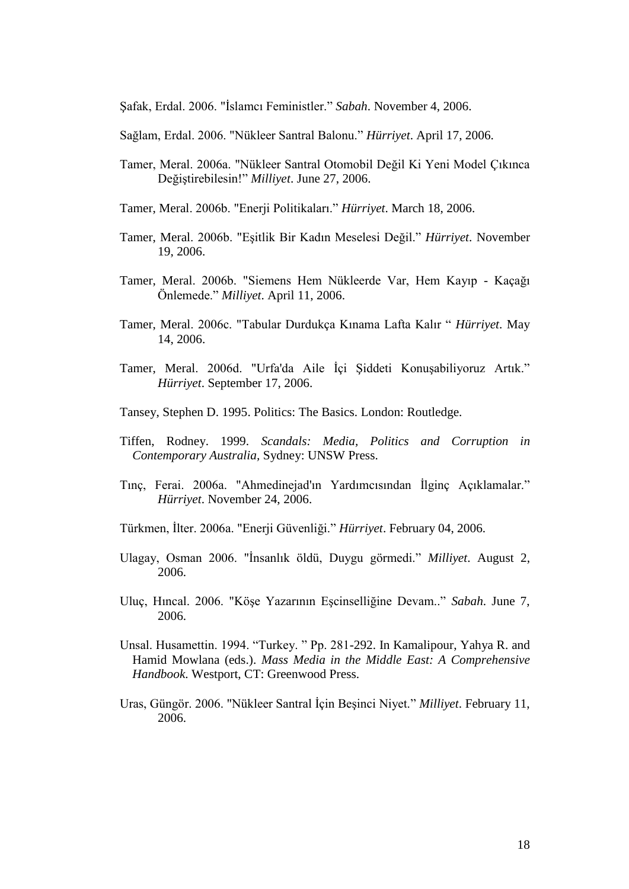Şafak, Erdal. 2006. "İslamcı Feministler." *Sabah*. November 4, 2006.

Sağlam, Erdal. 2006. "Nükleer Santral Balonu." *Hürriyet*. April 17, 2006.

- Tamer, Meral. 2006a. "Nükleer Santral Otomobil Değil Ki Yeni Model Çıkınca Değiştirebilesin!" *Milliyet*. June 27, 2006.
- Tamer, Meral. 2006b. "Enerji Politikaları." *Hürriyet*. March 18, 2006.
- Tamer, Meral. 2006b. "Eşitlik Bir Kadın Meselesi Değil." *Hürriyet*. November 19, 2006.
- Tamer, Meral. 2006b. "Siemens Hem Nükleerde Var, Hem Kayıp Kaçağı Önlemede." *Milliyet*. April 11, 2006.
- Tamer, Meral. 2006c. "Tabular Durdukça Kınama Lafta Kalır " *Hürriyet*. May 14, 2006.
- Tamer, Meral. 2006d. "Urfa'da Aile İçi Şiddeti Konuşabiliyoruz Artık." *Hürriyet*. September 17, 2006.
- Tansey, Stephen D. 1995. Politics: The Basics. London: Routledge.
- Tiffen, Rodney. 1999. *Scandals: Media, Politics and Corruption in Contemporary Australia,* Sydney: UNSW Press.
- Tınç, Ferai. 2006a. "Ahmedinejad'ın Yardımcısından İlginç Açıklamalar." *Hürriyet*. November 24, 2006.
- Türkmen, İlter. 2006a. "Enerji Güvenliği." *Hürriyet*. February 04, 2006.
- Ulagay, Osman 2006. "İnsanlık öldü, Duygu görmedi." *Milliyet*. August 2, 2006.
- Uluç, Hıncal. 2006. "Köşe Yazarının Eşcinselliğine Devam.." *Sabah*. June 7, 2006.
- Unsal. Husamettin. 1994. "Turkey. " Pp. 281-292. In Kamalipour, Yahya R. and Hamid Mowlana (eds.). *Mass Media in the Middle East: A Comprehensive Handbook*. Westport, CT: Greenwood Press.
- Uras, Güngör. 2006. "Nükleer Santral İçin Beşinci Niyet." *Milliyet*. February 11, 2006.